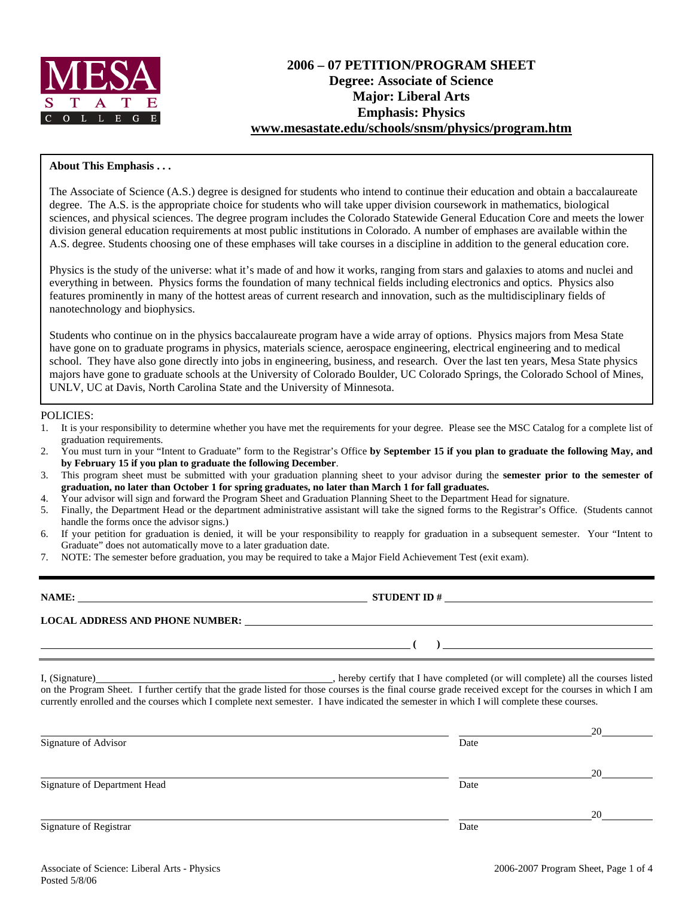

# **2006 – 07 PETITION/PROGRAM SHEET Degree: Associate of Science Major: Liberal Arts Emphasis: Physics www.mesastate.edu/schools/snsm/physics/program.htm**

### **About This Emphasis . . .**

The Associate of Science (A.S.) degree is designed for students who intend to continue their education and obtain a baccalaureate degree. The A.S. is the appropriate choice for students who will take upper division coursework in mathematics, biological sciences, and physical sciences. The degree program includes the Colorado Statewide General Education Core and meets the lower division general education requirements at most public institutions in Colorado. A number of emphases are available within the A.S. degree. Students choosing one of these emphases will take courses in a discipline in addition to the general education core.

Physics is the study of the universe: what it's made of and how it works, ranging from stars and galaxies to atoms and nuclei and everything in between. Physics forms the foundation of many technical fields including electronics and optics. Physics also features prominently in many of the hottest areas of current research and innovation, such as the multidisciplinary fields of nanotechnology and biophysics.

Students who continue on in the physics baccalaureate program have a wide array of options. Physics majors from Mesa State have gone on to graduate programs in physics, materials science, aerospace engineering, electrical engineering and to medical school. They have also gone directly into jobs in engineering, business, and research. Over the last ten years, Mesa State physics majors have gone to graduate schools at the University of Colorado Boulder, UC Colorado Springs, the Colorado School of Mines, UNLV, UC at Davis, North Carolina State and the University of Minnesota.

#### POLICIES:

- 1. It is your responsibility to determine whether you have met the requirements for your degree. Please see the MSC Catalog for a complete list of graduation requirements.
- 2. You must turn in your "Intent to Graduate" form to the Registrar's Office **by September 15 if you plan to graduate the following May, and by February 15 if you plan to graduate the following December**.
- 3. This program sheet must be submitted with your graduation planning sheet to your advisor during the **semester prior to the semester of graduation, no later than October 1 for spring graduates, no later than March 1 for fall graduates.**
- 4. Your advisor will sign and forward the Program Sheet and Graduation Planning Sheet to the Department Head for signature.
- 5. Finally, the Department Head or the department administrative assistant will take the signed forms to the Registrar's Office. (Students cannot handle the forms once the advisor signs.)
- 6. If your petition for graduation is denied, it will be your responsibility to reapply for graduation in a subsequent semester. Your "Intent to Graduate" does not automatically move to a later graduation date.
- 7. NOTE: The semester before graduation, you may be required to take a Major Field Achievement Test (exit exam).

| NAME:                                  | <b>STUDENT ID#</b> |
|----------------------------------------|--------------------|
| <b>LOCAL ADDRESS AND PHONE NUMBER:</b> |                    |
|                                        |                    |

I, (Signature) , hereby certify that I have completed (or will complete) all the courses listed on the Program Sheet. I further certify that the grade listed for those courses is the final course grade received except for the courses in which I am currently enrolled and the courses which I complete next semester. I have indicated the semester in which I will complete these courses.

|                              |      | 20 |
|------------------------------|------|----|
| Signature of Advisor         | Date |    |
|                              |      | 20 |
| Signature of Department Head | Date |    |
|                              |      | 20 |
| Signature of Registrar       | Date |    |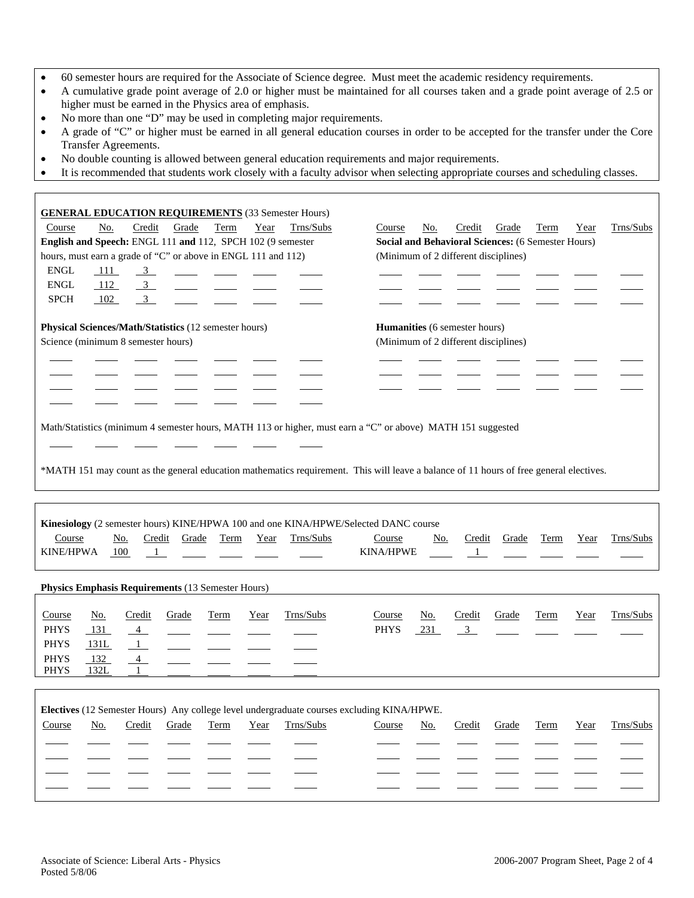- 60 semester hours are required for the Associate of Science degree. Must meet the academic residency requirements.
- A cumulative grade point average of 2.0 or higher must be maintained for all courses taken and a grade point average of 2.5 or higher must be earned in the Physics area of emphasis.
- No more than one "D" may be used in completing major requirements.
- A grade of "C" or higher must be earned in all general education courses in order to be accepted for the transfer under the Core Transfer Agreements.
- No double counting is allowed between general education requirements and major requirements.
- It is recommended that students work closely with a faculty advisor when selecting appropriate courses and scheduling classes.

| <b>GENERAL EDUCATION REQUIREMENTS (33 Semester Hours)</b>                                                                              |                                                               |  |  |  |  |  |  |
|----------------------------------------------------------------------------------------------------------------------------------------|---------------------------------------------------------------|--|--|--|--|--|--|
| Credit<br>Grade<br>No.<br>Term<br>Year<br>Trns/Subs<br>Course                                                                          | Credit<br>Grade<br>Term<br>Trns/Subs<br>Course<br>No.<br>Year |  |  |  |  |  |  |
| English and Speech: ENGL 111 and 112, SPCH 102 (9 semester                                                                             | <b>Social and Behavioral Sciences: (6 Semester Hours)</b>     |  |  |  |  |  |  |
| hours, must earn a grade of "C" or above in ENGL 111 and 112)                                                                          | (Minimum of 2 different disciplines)                          |  |  |  |  |  |  |
| ${\rm ENGL}$<br>111<br>$\frac{3}{2}$                                                                                                   |                                                               |  |  |  |  |  |  |
| <b>ENGL</b><br>112<br>$\overline{3}$                                                                                                   |                                                               |  |  |  |  |  |  |
| <b>SPCH</b><br>102<br>$\overline{\mathbf{3}}$                                                                                          |                                                               |  |  |  |  |  |  |
| Physical Sciences/Math/Statistics (12 semester hours)                                                                                  | Humanities (6 semester hours)                                 |  |  |  |  |  |  |
| Science (minimum 8 semester hours)                                                                                                     | (Minimum of 2 different disciplines)                          |  |  |  |  |  |  |
|                                                                                                                                        |                                                               |  |  |  |  |  |  |
|                                                                                                                                        |                                                               |  |  |  |  |  |  |
|                                                                                                                                        |                                                               |  |  |  |  |  |  |
|                                                                                                                                        |                                                               |  |  |  |  |  |  |
|                                                                                                                                        |                                                               |  |  |  |  |  |  |
| Math/Statistics (minimum 4 semester hours, MATH 113 or higher, must earn a "C" or above) MATH 151 suggested                            |                                                               |  |  |  |  |  |  |
|                                                                                                                                        |                                                               |  |  |  |  |  |  |
|                                                                                                                                        |                                                               |  |  |  |  |  |  |
| *MATH 151 may count as the general education mathematics requirement. This will leave a balance of 11 hours of free general electives. |                                                               |  |  |  |  |  |  |
|                                                                                                                                        |                                                               |  |  |  |  |  |  |
|                                                                                                                                        |                                                               |  |  |  |  |  |  |
| Kinesiology (2 semester hours) KINE/HPWA 100 and one KINA/HPWE/Selected DANC course                                                    |                                                               |  |  |  |  |  |  |
| Course<br>Term<br>Trns/Subs<br>Credit<br>Grade<br>Year<br>No.                                                                          | Trns/Subs<br>Credit<br>Grade<br>Term<br>Year<br>Course<br>No. |  |  |  |  |  |  |
| KINE/HPWA<br>100<br>$\mathbf{1}$                                                                                                       | <b>KINA/HPWE</b><br>$\overline{1}$                            |  |  |  |  |  |  |
|                                                                                                                                        |                                                               |  |  |  |  |  |  |
| Physics Emphasis Requirements (13 Semester Hours)                                                                                      |                                                               |  |  |  |  |  |  |
|                                                                                                                                        |                                                               |  |  |  |  |  |  |
| Trns/Subs<br>Year<br>Course<br>No.<br>Credit<br>Grade<br>Term                                                                          | Trns/Subs<br>Course<br>No.<br>Credit<br>Grade<br>Term<br>Year |  |  |  |  |  |  |
| <b>PHYS</b><br>131<br>$\overline{4}$                                                                                                   | <b>PHYS</b><br>231<br>$\overline{3}$                          |  |  |  |  |  |  |
| <b>PHYS</b><br>$\frac{1}{2}$<br>131L                                                                                                   |                                                               |  |  |  |  |  |  |
| <b>PHYS</b><br>132<br>$\sim$ 4                                                                                                         |                                                               |  |  |  |  |  |  |
| 132L<br><b>PHYS</b>                                                                                                                    |                                                               |  |  |  |  |  |  |

| Electives (12 Semester Hours) Any college level undergraduate courses excluding KINA/HPWE. |     |        |       |      |      |           |        |     |        |       |      |      |           |
|--------------------------------------------------------------------------------------------|-----|--------|-------|------|------|-----------|--------|-----|--------|-------|------|------|-----------|
| Course                                                                                     | No. | Credit | Grade | Term | Year | Trns/Subs | Course | No. | Credit | Grade | Term | Year | Trns/Subs |
|                                                                                            |     |        |       |      |      |           |        |     |        |       |      |      |           |
|                                                                                            |     |        |       |      |      |           |        |     |        |       |      |      |           |
|                                                                                            |     |        |       |      |      |           |        |     |        |       |      |      |           |
|                                                                                            |     |        |       |      |      |           |        |     |        |       |      |      |           |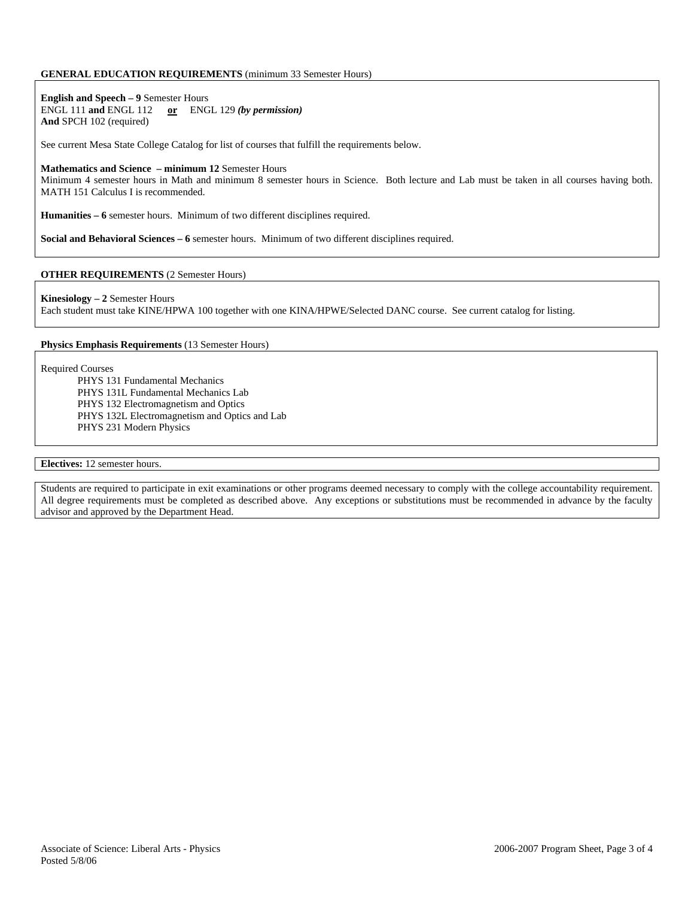#### **GENERAL EDUCATION REQUIREMENTS** (minimum 33 Semester Hours)

**English and Speech – 9** Semester Hours ENGL 111 **and** ENGL 112 **or** ENGL 129 *(by permission)* **And** SPCH 102 (required)

See current Mesa State College Catalog for list of courses that fulfill the requirements below.

#### **Mathematics and Science – minimum 12** Semester Hours

Minimum 4 semester hours in Math and minimum 8 semester hours in Science. Both lecture and Lab must be taken in all courses having both. MATH 151 Calculus I is recommended.

**Humanities – 6** semester hours. Minimum of two different disciplines required.

**Social and Behavioral Sciences – 6** semester hours. Minimum of two different disciplines required.

#### **OTHER REQUIREMENTS** (2 Semester Hours)

**Kinesiology – 2** Semester Hours

Each student must take KINE/HPWA 100 together with one KINA/HPWE/Selected DANC course. See current catalog for listing.

**Physics Emphasis Requirements** (13 Semester Hours)

Required Courses

PHYS 131 Fundamental Mechanics PHYS 131L Fundamental Mechanics Lab PHYS 132 Electromagnetism and Optics PHYS 132L Electromagnetism and Optics and Lab PHYS 231 Modern Physics

**Electives:** 12 semester hours.

Students are required to participate in exit examinations or other programs deemed necessary to comply with the college accountability requirement. All degree requirements must be completed as described above. Any exceptions or substitutions must be recommended in advance by the faculty advisor and approved by the Department Head.